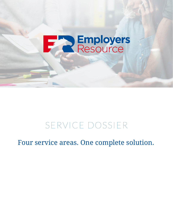# **Employers**

### SERVICE DOSSIER

Four service areas. One complete solution.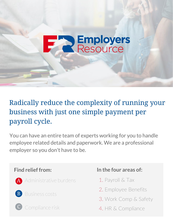### Radically reduce the complexity of running your business with just one simple payment per payroll cycle.

**SEmployers**<br>Resource

You can have an entire team of experts working for you to handle employee related details and paperwork. We are a professional employer so you don't have to be.

- A Administrative burdens
- **B** Business costs
- C Compliance risk

### **Find relief from: In the four areas of:**

- 1. Payroll & Tax
- 2. Employee Benefits
- 3. Work Comp & Safety
- 4. HR & Compliance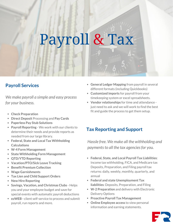## Payroll & Tax

### **Payroll Services**

*We make payroll a simple and easy process for your business.*

- **Check Preparation**
- **Direct Deposit** Processing and **Pay Cards**
- **Paperless Pay Stub Solutions**
- **Payroll Reporting** We work with our clients to determine their needs and provide reports as needed from our large library.
- **Federal, State and Local Tax Withholding Calculations**
- **W-4 Form Management**
- **State Withholding Form Management**
- **QTD/YTD Reporting**
- **Vacation/PTO/Sick Leave Tracking**
- **Benefit Premium Collection**
- **Wage Garnishments**
- **Tax Lien and Child Support Orders**
- **New Hire Reporting**
- **Savings, Vacation, and Christmas Clubs** Helps you and your employee budget and save for special events with automatic payroll deductions
- **ezWEB -** client self-service to process and submit payroll, run reports and more.
- **General Ledger Mapping** from payroll in several different formats (including Quickbooks)
- **Customized imports** for payroll from your timekeeping system or excel spreadsheets.
- **Vendor relationships** for time and attendance just need to ask and we will work to find the best fit and guide the process to get them setup.

### **Tax Reporting and Support**

*Hassle free. We make all the withholding and paymentsto all the tax agenciesfor you.*

- **Federal, State, and Local Payroll Tax Liabilities**: Income tax withholding, FICA, and Medicare tax Deposits, Preparation, and Filing payroll tax returns: daily, weekly, monthly, quarterly, and annual
- **Federal and state Unemployment Tax liabilities**: Deposits, Preparation, and Filing
- **W-2 Preparation** and delivery with Electronic Delivery Options
- **Proactive Payroll Tax Management**
- **Online Employee access** to view personal information and earning statements.

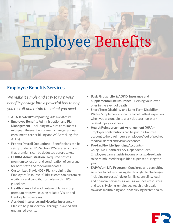## Employee Benefits

### **Employee Benefits Services**

*We make itsimple and easy to turn your benefits package into a powerful tool to help you recruit and retain the talent you need.*

- **ACA 1094/1095 reporting** *(additional cost)*
- **Employee Benefits Administration and Plan Management-** Including new hire enrollments, mid-year life event enrollment changes, annual enrollment, carrier billing and ACA tracking (for ALE's).
- **Pre-tax Payroll Deductions -** Benefit plans can be set-up under an IRS Section 125 cafeteria plan so that premiums can be deducted before taxes.
- **COBRA Administration -** Required notices, premium collection and continuation of coverage for both state and federal mandates.
- **Customized Slavic 401k Plans -** Joining the Employers Resource 401(k), clients can customize eligibility and contribution rules within IRS guidelines.
- **Health Plans -** Take advantage of large group premium rates while using reliable Vision and Dental plan coverages.
- **Accident Insurance and Hospital Insurance -**Plans to help support you through planned and unplanned events.
- **Basic Group Life & AD&D Insurance and Supplemental Life Insurance -** Helping your loved ones in the event of death.
- **Short Term Disability and Long Term Disability Plans -** Supplemental income to help offset expenses when you are unable to work due to a non-work related injury or illness.
- **Health Reimbursement Arrangement(HRA) -** Employer contributions can be put in a tax-free account to help reimburse employees' out of pocket medical, dental and vision expenses.
- **Pre-tax Flexible Spending Accounts** Using FSA-Health or FSA-Dependent Care, Employees can set aside income on a tax-free basis to be reimbursed for qualified expenses during the year.
- **EAP/Work Life Program -** Concierge and consulting services to help you navigate through life challenges including no-cost single or family counseling, legal and financial services, as well as wellness resources and tools. Helping employees reach their goals towards maintaining and/or achieving better health.

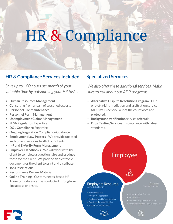## HR & Compliance

### **HR & Compliance Services Included**

*Save up to 100 hours per month of your valuable time by outsourcing your HR tasks.*

- **Human Resources Management**
- **Consulting** from a team of seasoned experts  $\bullet$
- $\bullet$ **Personnel File Maintenance**
- **Personnel Form Management**
- **Unemployment Claims Management**
- **FLSA Regulation** Expertise
- **DOL Compliance** Expertise
- **Ongoing Regulation Compliance Guidance**
- **Employment Law Posters -** We provide updated and current versions to all of our clients.
- **I- 9 and E-Verify Form Management**
- **Employee Handbooks -** We will work with the client to complete a questionnaire and produce these for the client. We provide an electronic document for the client to print and distribute.
- **Job Descriptions**
- **Performance Review** Material
- **Online Training** Custom, needs-based HR Training modules can be conducted through online access or onsite.

### **Specialized Services**

*We also offer these additionalservices. Make sure to ask about our ADR program!*

- **Alternative Dispute Resolution Program** Our one-of-a-kind mediation and arbitration service (ADR) will keep you out of the courtroom and protected.
- **Background verification** service referrals
- **Drug Testing Services** in compliance with latest standards.



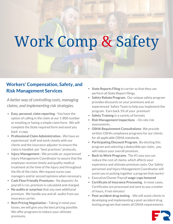## Work Comp & Safety

### **Workers' Compensation, Safety, and Risk Management Services**

*A better way of controlling costs, managing claims, and implementing risk strategies.*

- **Easy, personal, claim reporting** You have the option of calling in the claim at our 1-800 number or emailing or faxing a simple claim form. We will complete the State required form and send you back a copy.
- **Professional Claim Administration -** We have an experienced staff and work closely with our clients and the insurance adjuster to ensure the claim is handled per "best practices" protocols.
- **Injury Management-** We provide an experienced Injury Management Coordinator to assure that the employee receives timely and quality medical treatment at the time of the injury and throughout the life of the claim. We request nurse case managers and/or second opinions when necessary.
- **Cash Flow Friendly Premiums -** No deposits! As payroll is run, premium is calculated and charged.
- **No audits or surprises** that you owe additional premium. We handle any and all audits from our insurance carrier.
- **Best Pricing Negotiation -** Taking in mind your losses, we will give you the best pricing possible. We offer programs to reduce your ultimate premiums.
- **State Reports Filing** to carrier so that they can perform all State Report filings.
- **Safety Rebate Program.** Our unique safety program provides discounts on your premiums and an experienced Safety Team to help you implement the program. Earn back 5% of your premium!
- **Safety Training** in a variety of formats
- **Risk Management Inspections** On-site risk assessments..
- **OSHA Requirement Consultations** We provide written OSHA compliance programs for our clients for all applicable OSHA standards.
- **Participating Discount Program.** By electing this program and selecting a deductible per claim, you will reduce your overall premium.
- **Back to Work Programs**. The #1 way you can reduce the cost of claims, which affects your experience and ultimate premium costs. Our Safety personnel and Injury Management Coordinator will assist you in putting together a program that works!
- Executive/Owner Payroll **wage-caps honored**
- **Certificate of Insurance Processing.** In most cases, Certificates are processed and sent to you a matter of hours, if not minutes!
- **Post-accident drug testing** We will assist clients in developing and implementing a post-accident drug testing program that meets all OSHA requirements.

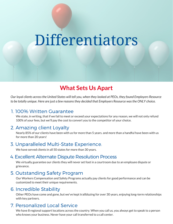## Differentiators

### **What Sets Us Apart**

Our loyal clients across the United States will tell you, when they looked at PEOs, they found Employers Resource *to be totally unique. Here are just a few reasonsthey decided that Employers Resource wasthe ONLY choice.*

#### 1. 100% Written Guarantee

We state, in writing, that if we fail to meet or exceed your expectations for any reason, we will not only refund 100% of your fees, but we'll pay the cost to convert you to the competitor of your choice.

### 2. Amazing client Loyalty

Nearly 85% of our clients have been with us for more than 5 years. and more than a handful have been with us for more than 20 years!

### 3. Unparalleled Multi-State Experience.

We have served clients in all 50 states for more than 30 years.

### 4. Excellent Alternate Dispute Resolution Process

We virtually guarantee our clients they will never set foot in a courtroom due to an employee dispute or grievance.

### 5. Outstanding Safety Program

Our Workers Compensation and Safety Programs actually pay clients for good performance and can be customized to meet their unique requirements.

### 6. Incredible Stability

Other PEOs have come and gone, but we've kept trailblazing for over 30 years, enjoying long-term relationships with key partners.

### 7. Personalized Local Service

We have 8 regional support locations across the country. When you call us, you always get to speak to a person who knows your business. Never have your call transferred to a call center.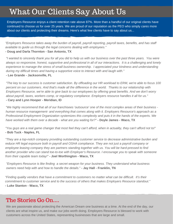### What Our Clients Say About Us

Employers Resource enjoys a client retention rate above 87%. More than a handful of our original clients have continued to choose us for over 25 years. We are proud of our reputation as the PEO who simply *cares* more about our clients and protecting their dreams. Here's what few clients have to say about us...

*"Employers Resource takes away the burden of payroll, payroll reporting, payroll taxes, benefits, and has staff available to guide us through the legal concerns dealing with employees."*

#### **- Doug and Darla Thornton - San Antonio, TX**

"I wanted to sincerely thank you for all you did to help us with our business over the past three years. You were always so responsive, honest, supportive and professional in all of our interactions. It is a challenging and lonely *experience to manage the stress of small business ownership. I appreciated your kindness and understanding during my difficult times and having a supportive voice to interact with and laugh with."* **- Lee Grande - Jacksonville, FL**

"The key to our success is customer satisfaction. By offloading our HR workload to ERM, we're able to focus 100 percent on our customers. And that's made all the difference in the world. Thanks to our relationship with Employers Resource, we're able to give back to our employees by offering great benefits. And we don't worry *about payroll, taxes, workers comp, or regulatory compliance. Employers resource handles it all for us."* **- Cary and Lynn Hooper - Meridian, ID**

"We highly recommend that all of our franchisees 'outsource' one of the most complex areas of their business *human resource management- and everything that comes along with it. Employers Resource's approach as a Professional Employment Organization systemizes this complexity and puts it in the hands of the experts. We have worked with them over a decade - what are you waiting for?"* **- Doyle James - Waco, TX**

"You guys are a real game changer that most feel they can't afford, when in actuality, they can't afford not to!" **- Bob Tuck - Naples, FL**

*"They are a top-notch company providing outstanding customer service to decrease administrative burden and* reduce HR legal exposure both in payroll and OSHA compliance. They are not just a payroll company or *employee leasing company they are partners standing together with us. You will be hard-pressed to find another provider who can stand toe-to-toe with Employer's Resource. I encourage you to speak with someone from their capable team today!"* **- Joel Worthington - Waco, TX**

*"Employers Resource is like finding a secret weapon for your business. They understand what business owners need help with and how to handle the details*." **- Jay Hall - Franklin, TN**

*"Finding quality vendors that have a commitment to customers no matter what can be difficult. It's their commitment to customer service and to the success of others that makes Employers Resource standout."* **- Luke Stanton - Waco, TX**

### The Stories Go On....

We are passionate about protecting the American Dream one business at a time. At the end of the day, our clients are what inspire us, and make our jobs worth doing. Employers Resource is blessed to work with customers across the United States, representing businesses that are large and small.